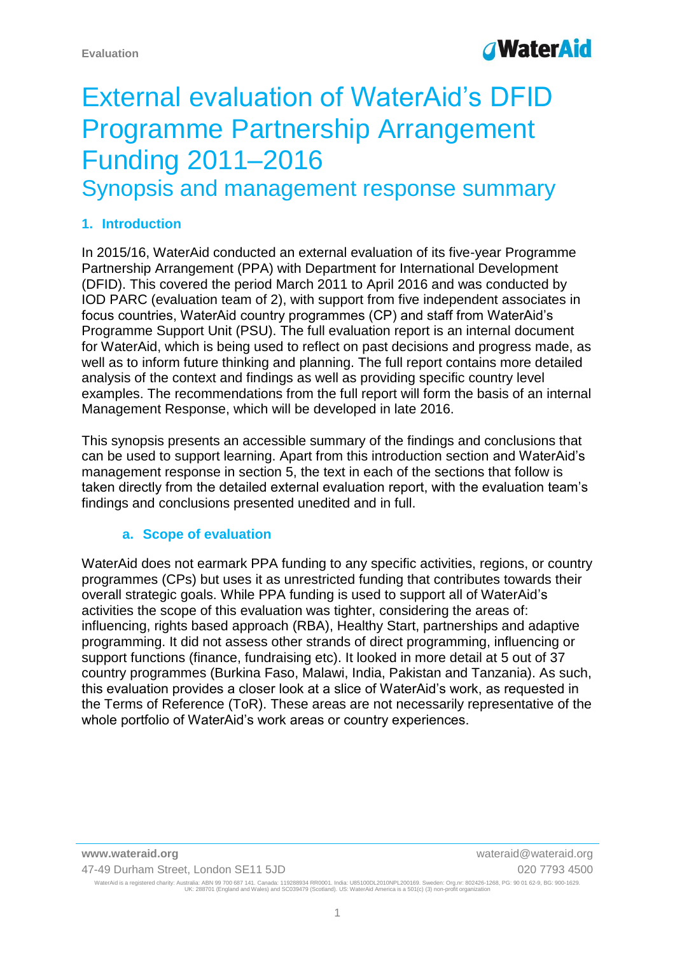## **WaterAid**

# External evaluation of WaterAid's DFID Programme Partnership Arrangement Funding 2011–2016

Synopsis and management response summary

#### **1. Introduction**

In 2015/16, WaterAid conducted an external evaluation of its five-year Programme Partnership Arrangement (PPA) with Department for International Development (DFID). This covered the period March 2011 to April 2016 and was conducted by IOD PARC (evaluation team of 2), with support from five independent associates in focus countries, WaterAid country programmes (CP) and staff from WaterAid's Programme Support Unit (PSU). The full evaluation report is an internal document for WaterAid, which is being used to reflect on past decisions and progress made, as well as to inform future thinking and planning. The full report contains more detailed analysis of the context and findings as well as providing specific country level examples. The recommendations from the full report will form the basis of an internal Management Response, which will be developed in late 2016.

This synopsis presents an accessible summary of the findings and conclusions that can be used to support learning. Apart from this introduction section and WaterAid's management response in section 5, the text in each of the sections that follow is taken directly from the detailed external evaluation report, with the evaluation team's findings and conclusions presented unedited and in full.

#### **a. Scope of evaluation**

WaterAid does not earmark PPA funding to any specific activities, regions, or country programmes (CPs) but uses it as unrestricted funding that contributes towards their overall strategic goals. While PPA funding is used to support all of WaterAid's activities the scope of this evaluation was tighter, considering the areas of: influencing, rights based approach (RBA), Healthy Start, partnerships and adaptive programming. It did not assess other strands of direct programming, influencing or support functions (finance, fundraising etc). It looked in more detail at 5 out of 37 country programmes (Burkina Faso, Malawi, India, Pakistan and Tanzania). As such, this evaluation provides a closer look at a slice of WaterAid's work, as requested in the Terms of Reference (ToR). These areas are not necessarily representative of the whole portfolio of WaterAid's work areas or country experiences.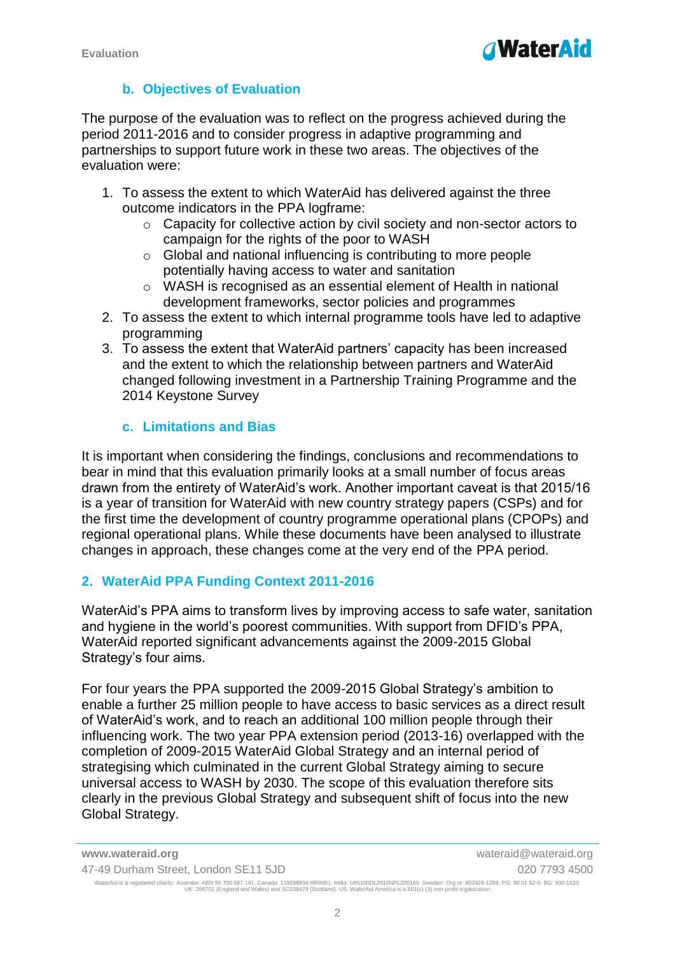

#### **b. Objectives of Evaluation**

The purpose of the evaluation was to reflect on the progress achieved during the period 2011-2016 and to consider progress in adaptive programming and partnerships to support future work in these two areas. The objectives of the evaluation were:

- 1. To assess the extent to which WaterAid has delivered against the three outcome indicators in the PPA logframe:
	- $\circ$  Capacity for collective action by civil society and non-sector actors to campaign for the rights of the poor to WASH
	- o Global and national influencing is contributing to more people potentially having access to water and sanitation
	- o WASH is recognised as an essential element of Health in national development frameworks, sector policies and programmes
- 2. To assess the extent to which internal programme tools have led to adaptive programming
- 3. To assess the extent that WaterAid partners' capacity has been increased and the extent to which the relationship between partners and WaterAid changed following investment in a Partnership Training Programme and the 2014 Keystone Survey

#### **c. Limitations and Bias**

It is important when considering the findings, conclusions and recommendations to bear in mind that this evaluation primarily looks at a small number of focus areas drawn from the entirety of WaterAid's work. Another important caveat is that 2015/16 is a year of transition for WaterAid with new country strategy papers (CSPs) and for the first time the development of country programme operational plans (CPOPs) and regional operational plans. While these documents have been analysed to illustrate changes in approach, these changes come at the very end of the PPA period.

#### **2. WaterAid PPA Funding Context 2011-2016**

WaterAid's PPA aims to transform lives by improving access to safe water, sanitation and hygiene in the world's poorest communities. With support from DFID's PPA, WaterAid reported significant advancements against the 2009-2015 Global Strategy's four aims.

For four years the PPA supported the 2009-2015 Global Strategy's ambition to enable a further 25 million people to have access to basic services as a direct result of WaterAid's work, and to reach an additional 100 million people through their influencing work. The two year PPA extension period (2013-16) overlapped with the completion of 2009-2015 WaterAid Global Strategy and an internal period of strategising which culminated in the current Global Strategy aiming to secure universal access to WASH by 2030. The scope of this evaluation therefore sits clearly in the previous Global Strategy and subsequent shift of focus into the new Global Strategy.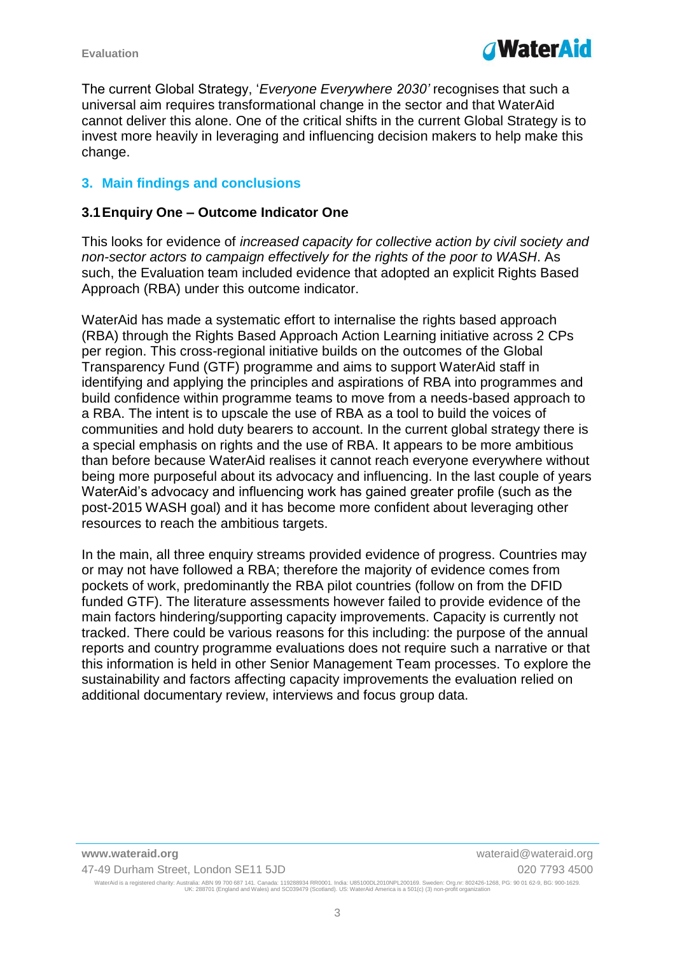

The current Global Strategy, '*Everyone Everywhere 2030'* recognises that such a universal aim requires transformational change in the sector and that WaterAid cannot deliver this alone. One of the critical shifts in the current Global Strategy is to invest more heavily in leveraging and influencing decision makers to help make this change.

#### **3. Main findings and conclusions**

#### **3.1Enquiry One – Outcome Indicator One**

This looks for evidence of *increased capacity for collective action by civil society and non-sector actors to campaign effectively for the rights of the poor to WASH*. As such, the Evaluation team included evidence that adopted an explicit Rights Based Approach (RBA) under this outcome indicator.

WaterAid has made a systematic effort to internalise the rights based approach (RBA) through the Rights Based Approach Action Learning initiative across 2 CPs per region. This cross-regional initiative builds on the outcomes of the Global Transparency Fund (GTF) programme and aims to support WaterAid staff in identifying and applying the principles and aspirations of RBA into programmes and build confidence within programme teams to move from a needs-based approach to a RBA. The intent is to upscale the use of RBA as a tool to build the voices of communities and hold duty bearers to account. In the current global strategy there is a special emphasis on rights and the use of RBA. It appears to be more ambitious than before because WaterAid realises it cannot reach everyone everywhere without being more purposeful about its advocacy and influencing. In the last couple of years WaterAid's advocacy and influencing work has gained greater profile (such as the post-2015 WASH goal) and it has become more confident about leveraging other resources to reach the ambitious targets.

In the main, all three enquiry streams provided evidence of progress. Countries may or may not have followed a RBA; therefore the majority of evidence comes from pockets of work, predominantly the RBA pilot countries (follow on from the DFID funded GTF). The literature assessments however failed to provide evidence of the main factors hindering/supporting capacity improvements. Capacity is currently not tracked. There could be various reasons for this including: the purpose of the annual reports and country programme evaluations does not require such a narrative or that this information is held in other Senior Management Team processes. To explore the sustainability and factors affecting capacity improvements the evaluation relied on additional documentary review, interviews and focus group data.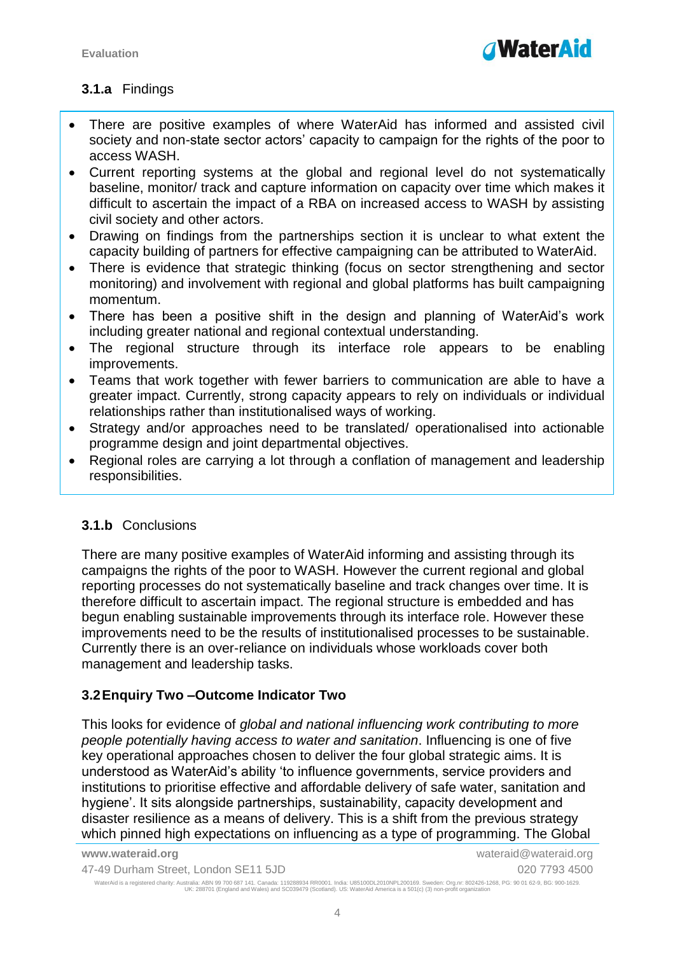

### **3.1.a** Findings

- There are positive examples of where WaterAid has informed and assisted civil society and non-state sector actors' capacity to campaign for the rights of the poor to access WASH.
- Current reporting systems at the global and regional level do not systematically baseline, monitor/ track and capture information on capacity over time which makes it difficult to ascertain the impact of a RBA on increased access to WASH by assisting civil society and other actors.
- Drawing on findings from the partnerships section it is unclear to what extent the capacity building of partners for effective campaigning can be attributed to WaterAid.
- There is evidence that strategic thinking (focus on sector strengthening and sector monitoring) and involvement with regional and global platforms has built campaigning momentum.
- There has been a positive shift in the design and planning of WaterAid's work including greater national and regional contextual understanding.
- The regional structure through its interface role appears to be enabling improvements.
- Teams that work together with fewer barriers to communication are able to have a greater impact. Currently, strong capacity appears to rely on individuals or individual relationships rather than institutionalised ways of working.
- Strategy and/or approaches need to be translated/ operationalised into actionable programme design and joint departmental objectives.
- Regional roles are carrying a lot through a conflation of management and leadership responsibilities.

#### **3.1.b** Conclusions

There are many positive examples of WaterAid informing and assisting through its campaigns the rights of the poor to WASH. However the current regional and global reporting processes do not systematically baseline and track changes over time. It is therefore difficult to ascertain impact. The regional structure is embedded and has begun enabling sustainable improvements through its interface role. However these improvements need to be the results of institutionalised processes to be sustainable. Currently there is an over-reliance on individuals whose workloads cover both management and leadership tasks.

#### **3.2Enquiry Two –Outcome Indicator Two**

This looks for evidence of *global and national influencing work contributing to more people potentially having access to water and sanitation*. Influencing is one of five key operational approaches chosen to deliver the four global strategic aims. It is understood as WaterAid's ability 'to influence governments, service providers and institutions to prioritise effective and affordable delivery of safe water, sanitation and hygiene'. It sits alongside partnerships, sustainability, capacity development and disaster resilience as a means of delivery. This is a shift from the previous strategy which pinned high expectations on influencing as a type of programming. The Global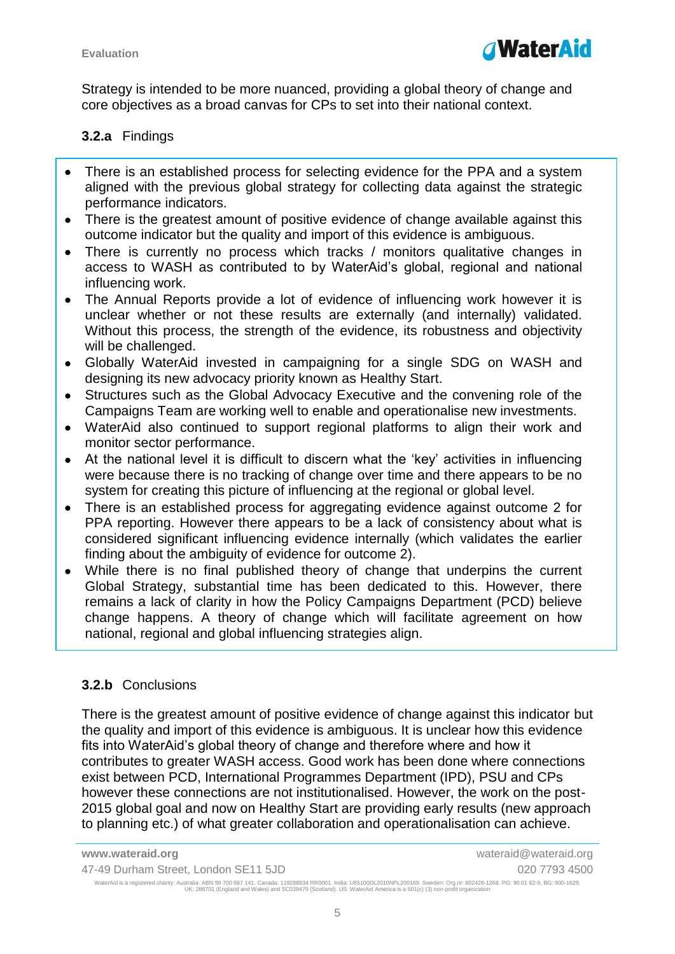Strategy is intended to be more nuanced, providing a global theory of change and core objectives as a broad canvas for CPs to set into their national context.

### **3.2.a** Findings

- There is an established process for selecting evidence for the PPA and a system aligned with the previous global strategy for collecting data against the strategic performance indicators.
- There is the greatest amount of positive evidence of change available against this outcome indicator but the quality and import of this evidence is ambiguous.
- There is currently no process which tracks / monitors qualitative changes in access to WASH as contributed to by WaterAid's global, regional and national influencing work.
- The Annual Reports provide a lot of evidence of influencing work however it is unclear whether or not these results are externally (and internally) validated. Without this process, the strength of the evidence, its robustness and objectivity will be challenged.
- Globally WaterAid invested in campaigning for a single SDG on WASH and designing its new advocacy priority known as Healthy Start.
- Structures such as the Global Advocacy Executive and the convening role of the Campaigns Team are working well to enable and operationalise new investments.
- WaterAid also continued to support regional platforms to align their work and monitor sector performance.
- At the national level it is difficult to discern what the 'key' activities in influencing were because there is no tracking of change over time and there appears to be no system for creating this picture of influencing at the regional or global level.
- There is an established process for aggregating evidence against outcome 2 for PPA reporting. However there appears to be a lack of consistency about what is considered significant influencing evidence internally (which validates the earlier finding about the ambiguity of evidence for outcome 2).
- While there is no final published theory of change that underpins the current Global Strategy, substantial time has been dedicated to this. However, there remains a lack of clarity in how the Policy Campaigns Department (PCD) believe change happens. A theory of change which will facilitate agreement on how national, regional and global influencing strategies align.

#### **3.2.b** Conclusions

There is the greatest amount of positive evidence of change against this indicator but the quality and import of this evidence is ambiguous. It is unclear how this evidence fits into WaterAid's global theory of change and therefore where and how it contributes to greater WASH access. Good work has been done where connections exist between PCD, International Programmes Department (IPD), PSU and CPs however these connections are not institutionalised. However, the work on the post-2015 global goal and now on Healthy Start are providing early results (new approach to planning etc.) of what greater collaboration and operationalisation can achieve.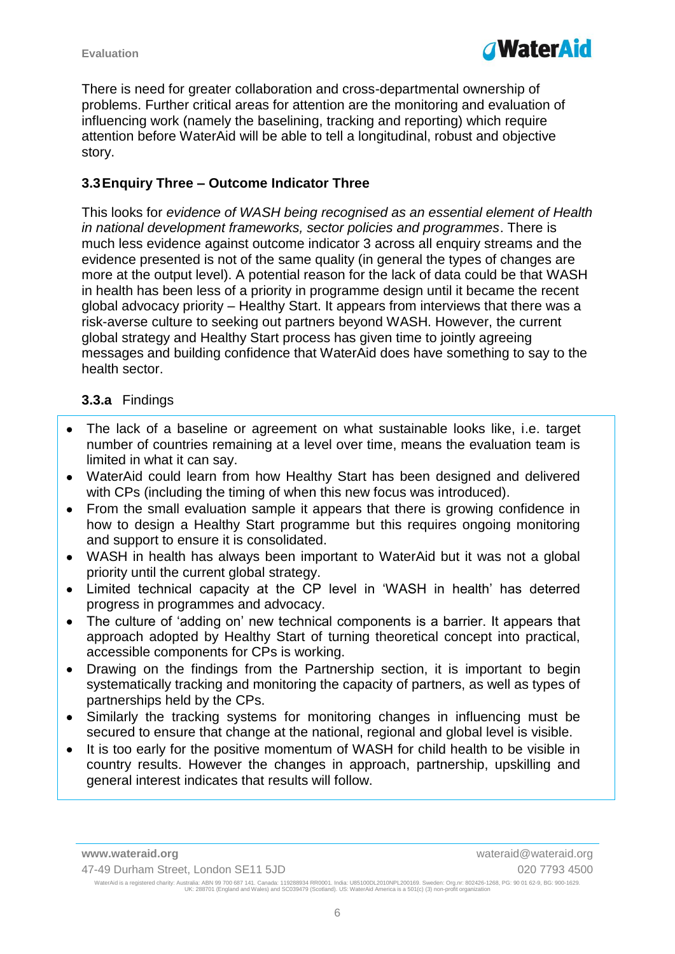

There is need for greater collaboration and cross-departmental ownership of problems. Further critical areas for attention are the monitoring and evaluation of influencing work (namely the baselining, tracking and reporting) which require attention before WaterAid will be able to tell a longitudinal, robust and objective story.

#### **3.3Enquiry Three – Outcome Indicator Three**

This looks for *evidence of WASH being recognised as an essential element of Health in national development frameworks, sector policies and programmes*. There is much less evidence against outcome indicator 3 across all enquiry streams and the evidence presented is not of the same quality (in general the types of changes are more at the output level). A potential reason for the lack of data could be that WASH in health has been less of a priority in programme design until it became the recent global advocacy priority – Healthy Start. It appears from interviews that there was a risk-averse culture to seeking out partners beyond WASH. However, the current global strategy and Healthy Start process has given time to jointly agreeing messages and building confidence that WaterAid does have something to say to the health sector.

#### **3.3.a** Findings

- The lack of a baseline or agreement on what sustainable looks like, i.e. target number of countries remaining at a level over time, means the evaluation team is limited in what it can say.
- WaterAid could learn from how Healthy Start has been designed and delivered with CPs (including the timing of when this new focus was introduced).
- From the small evaluation sample it appears that there is growing confidence in how to design a Healthy Start programme but this requires ongoing monitoring and support to ensure it is consolidated.
- WASH in health has always been important to WaterAid but it was not a global priority until the current global strategy.
- Limited technical capacity at the CP level in 'WASH in health' has deterred progress in programmes and advocacy.
- The culture of 'adding on' new technical components is a barrier. It appears that approach adopted by Healthy Start of turning theoretical concept into practical, accessible components for CPs is working.
- Drawing on the findings from the Partnership section, it is important to begin systematically tracking and monitoring the capacity of partners, as well as types of partnerships held by the CPs.
- Similarly the tracking systems for monitoring changes in influencing must be secured to ensure that change at the national, regional and global level is visible.
- It is too early for the positive momentum of WASH for child health to be visible in country results. However the changes in approach, partnership, upskilling and general interest indicates that results will follow.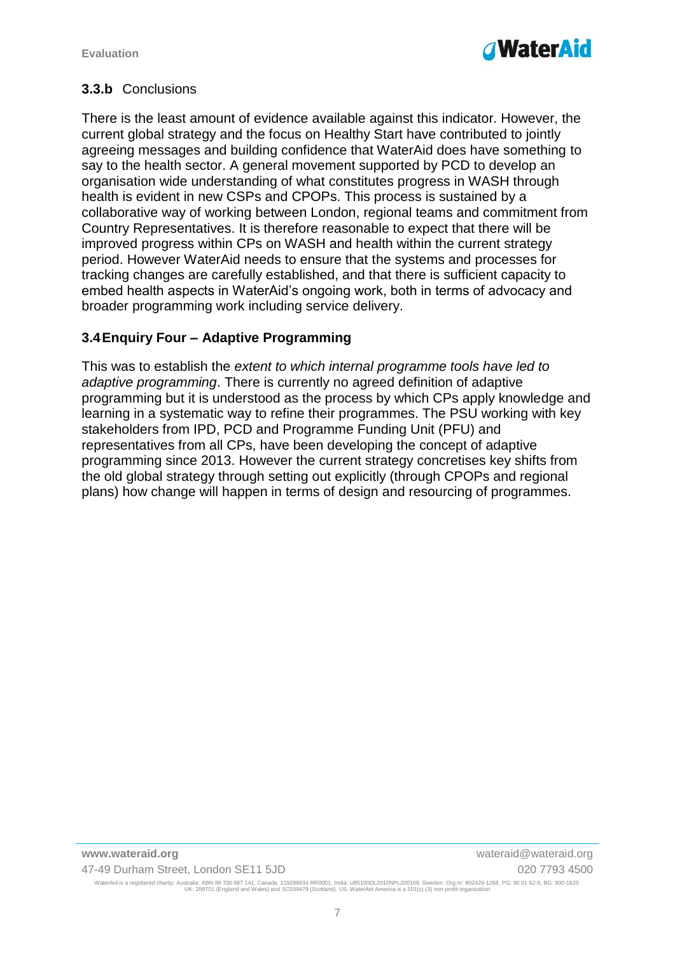

#### **3.3.b** Conclusions

There is the least amount of evidence available against this indicator. However, the current global strategy and the focus on Healthy Start have contributed to jointly agreeing messages and building confidence that WaterAid does have something to say to the health sector. A general movement supported by PCD to develop an organisation wide understanding of what constitutes progress in WASH through health is evident in new CSPs and CPOPs. This process is sustained by a collaborative way of working between London, regional teams and commitment from Country Representatives. It is therefore reasonable to expect that there will be improved progress within CPs on WASH and health within the current strategy period. However WaterAid needs to ensure that the systems and processes for tracking changes are carefully established, and that there is sufficient capacity to embed health aspects in WaterAid's ongoing work, both in terms of advocacy and broader programming work including service delivery.

#### **3.4Enquiry Four – Adaptive Programming**

This was to establish the *extent to which internal programme tools have led to adaptive programming*. There is currently no agreed definition of adaptive programming but it is understood as the process by which CPs apply knowledge and learning in a systematic way to refine their programmes. The PSU working with key stakeholders from IPD, PCD and Programme Funding Unit (PFU) and representatives from all CPs, have been developing the concept of adaptive programming since 2013. However the current strategy concretises key shifts from the old global strategy through setting out explicitly (through CPOPs and regional plans) how change will happen in terms of design and resourcing of programmes.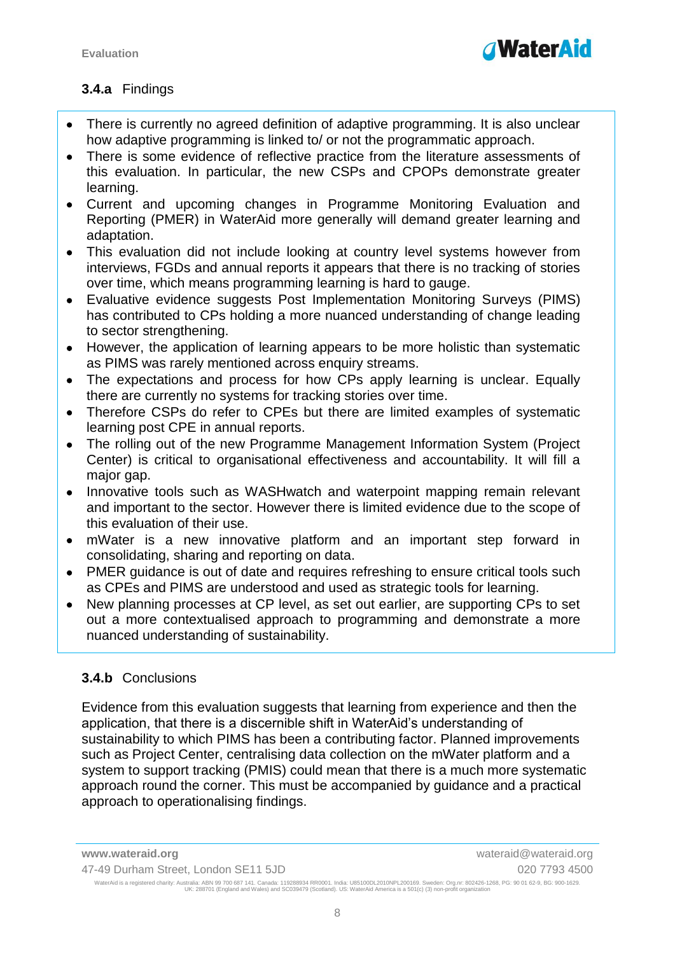

### **3.4.a** Findings

- There is currently no agreed definition of adaptive programming. It is also unclear how adaptive programming is linked to/ or not the programmatic approach.
- There is some evidence of reflective practice from the literature assessments of this evaluation. In particular, the new CSPs and CPOPs demonstrate greater learning.
- Current and upcoming changes in Programme Monitoring Evaluation and Reporting (PMER) in WaterAid more generally will demand greater learning and adaptation.
- This evaluation did not include looking at country level systems however from interviews, FGDs and annual reports it appears that there is no tracking of stories over time, which means programming learning is hard to gauge.
- Evaluative evidence suggests Post Implementation Monitoring Surveys (PIMS) has contributed to CPs holding a more nuanced understanding of change leading to sector strengthening.
- However, the application of learning appears to be more holistic than systematic as PIMS was rarely mentioned across enquiry streams.
- The expectations and process for how CPs apply learning is unclear. Equally there are currently no systems for tracking stories over time.
- Therefore CSPs do refer to CPEs but there are limited examples of systematic learning post CPE in annual reports.
- The rolling out of the new Programme Management Information System (Project Center) is critical to organisational effectiveness and accountability. It will fill a major gap.
- Innovative tools such as WASHwatch and waterpoint mapping remain relevant and important to the sector. However there is limited evidence due to the scope of this evaluation of their use.
- mWater is a new innovative platform and an important step forward in consolidating, sharing and reporting on data.
- PMER guidance is out of date and requires refreshing to ensure critical tools such as CPEs and PIMS are understood and used as strategic tools for learning.
- New planning processes at CP level, as set out earlier, are supporting CPs to set out a more contextualised approach to programming and demonstrate a more nuanced understanding of sustainability.

#### **3.4.b** Conclusions

Evidence from this evaluation suggests that learning from experience and then the application, that there is a discernible shift in WaterAid's understanding of sustainability to which PIMS has been a contributing factor. Planned improvements such as Project Center, centralising data collection on the mWater platform and a system to support tracking (PMIS) could mean that there is a much more systematic approach round the corner. This must be accompanied by guidance and a practical approach to operationalising findings.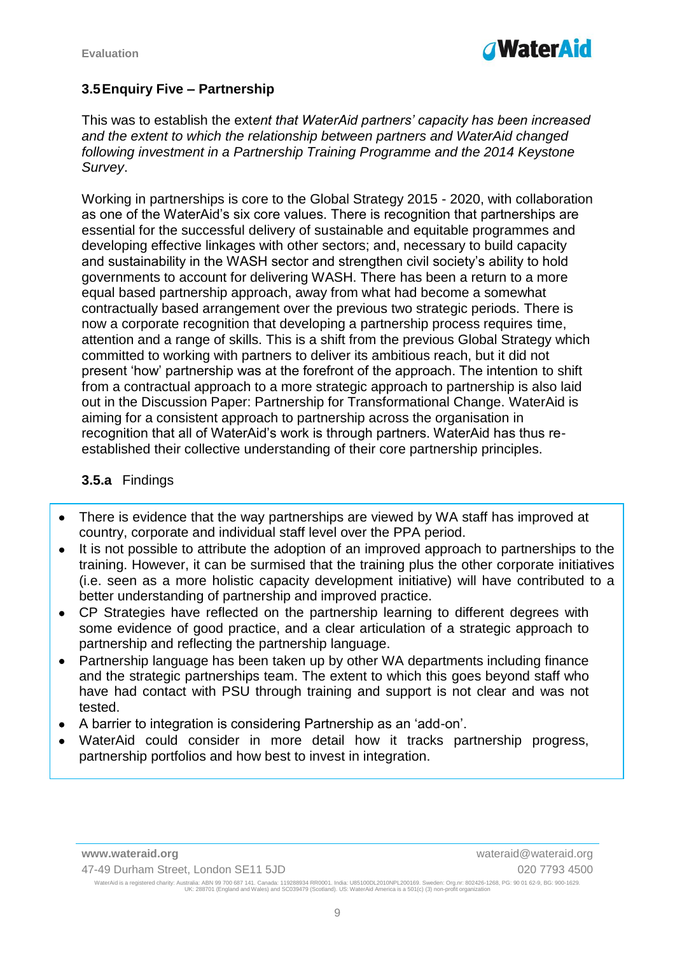

#### **3.5Enquiry Five – Partnership**

This was to establish the ext*ent that WaterAid partners' capacity has been increased and the extent to which the relationship between partners and WaterAid changed*  following investment in a Partnership Training Programme and the 2014 Keystone *Survey*.

Working in partnerships is core to the Global Strategy 2015 - 2020, with collaboration as one of the WaterAid's six core values. There is recognition that partnerships are essential for the successful delivery of sustainable and equitable programmes and developing effective linkages with other sectors; and, necessary to build capacity and sustainability in the WASH sector and strengthen civil society's ability to hold governments to account for delivering WASH. There has been a return to a more equal based partnership approach, away from what had become a somewhat contractually based arrangement over the previous two strategic periods. There is now a corporate recognition that developing a partnership process requires time, attention and a range of skills. This is a shift from the previous Global Strategy which committed to working with partners to deliver its ambitious reach, but it did not present 'how' partnership was at the forefront of the approach. The intention to shift from a contractual approach to a more strategic approach to partnership is also laid out in the Discussion Paper: Partnership for Transformational Change. WaterAid is aiming for a consistent approach to partnership across the organisation in recognition that all of WaterAid's work is through partners. WaterAid has thus reestablished their collective understanding of their core partnership principles.

#### **3.5.a** Findings

- There is evidence that the way partnerships are viewed by WA staff has improved at country, corporate and individual staff level over the PPA period.
- It is not possible to attribute the adoption of an improved approach to partnerships to the training. However, it can be surmised that the training plus the other corporate initiatives (i.e. seen as a more holistic capacity development initiative) will have contributed to a better understanding of partnership and improved practice.
- CP Strategies have reflected on the partnership learning to different degrees with some evidence of good practice, and a clear articulation of a strategic approach to partnership and reflecting the partnership language.
- Partnership language has been taken up by other WA departments including finance and the strategic partnerships team. The extent to which this goes beyond staff who have had contact with PSU through training and support is not clear and was not tested.
- A barrier to integration is considering Partnership as an 'add-on'.
- WaterAid could consider in more detail how it tracks partnership progress, partnership portfolios and how best to invest in integration.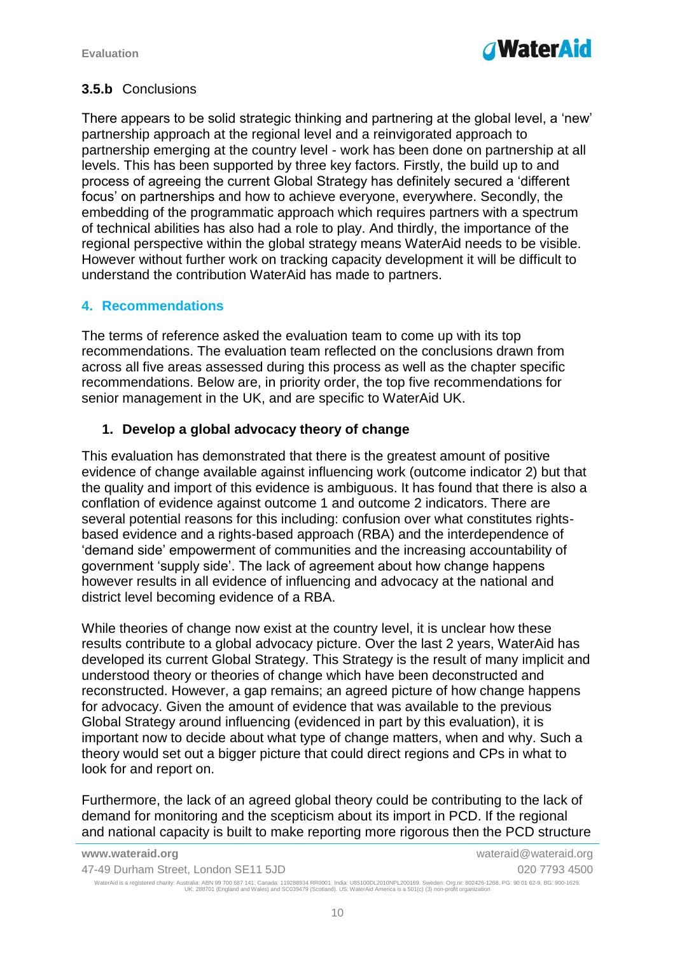

#### **3.5.b** Conclusions

There appears to be solid strategic thinking and partnering at the global level, a 'new' partnership approach at the regional level and a reinvigorated approach to partnership emerging at the country level - work has been done on partnership at all levels. This has been supported by three key factors. Firstly, the build up to and process of agreeing the current Global Strategy has definitely secured a 'different focus' on partnerships and how to achieve everyone, everywhere. Secondly, the embedding of the programmatic approach which requires partners with a spectrum of technical abilities has also had a role to play. And thirdly, the importance of the regional perspective within the global strategy means WaterAid needs to be visible. However without further work on tracking capacity development it will be difficult to understand the contribution WaterAid has made to partners.

#### **4. Recommendations**

The terms of reference asked the evaluation team to come up with its top recommendations. The evaluation team reflected on the conclusions drawn from across all five areas assessed during this process as well as the chapter specific recommendations. Below are, in priority order, the top five recommendations for senior management in the UK, and are specific to WaterAid UK.

#### **1. Develop a global advocacy theory of change**

This evaluation has demonstrated that there is the greatest amount of positive evidence of change available against influencing work (outcome indicator 2) but that the quality and import of this evidence is ambiguous. It has found that there is also a conflation of evidence against outcome 1 and outcome 2 indicators. There are several potential reasons for this including: confusion over what constitutes rightsbased evidence and a rights-based approach (RBA) and the interdependence of 'demand side' empowerment of communities and the increasing accountability of government 'supply side'. The lack of agreement about how change happens however results in all evidence of influencing and advocacy at the national and district level becoming evidence of a RBA.

While theories of change now exist at the country level, it is unclear how these results contribute to a global advocacy picture. Over the last 2 years, WaterAid has developed its current Global Strategy. This Strategy is the result of many implicit and understood theory or theories of change which have been deconstructed and reconstructed. However, a gap remains; an agreed picture of how change happens for advocacy. Given the amount of evidence that was available to the previous Global Strategy around influencing (evidenced in part by this evaluation), it is important now to decide about what type of change matters, when and why. Such a theory would set out a bigger picture that could direct regions and CPs in what to look for and report on.

Furthermore, the lack of an agreed global theory could be contributing to the lack of demand for monitoring and the scepticism about its import in PCD. If the regional and national capacity is built to make reporting more rigorous then the PCD structure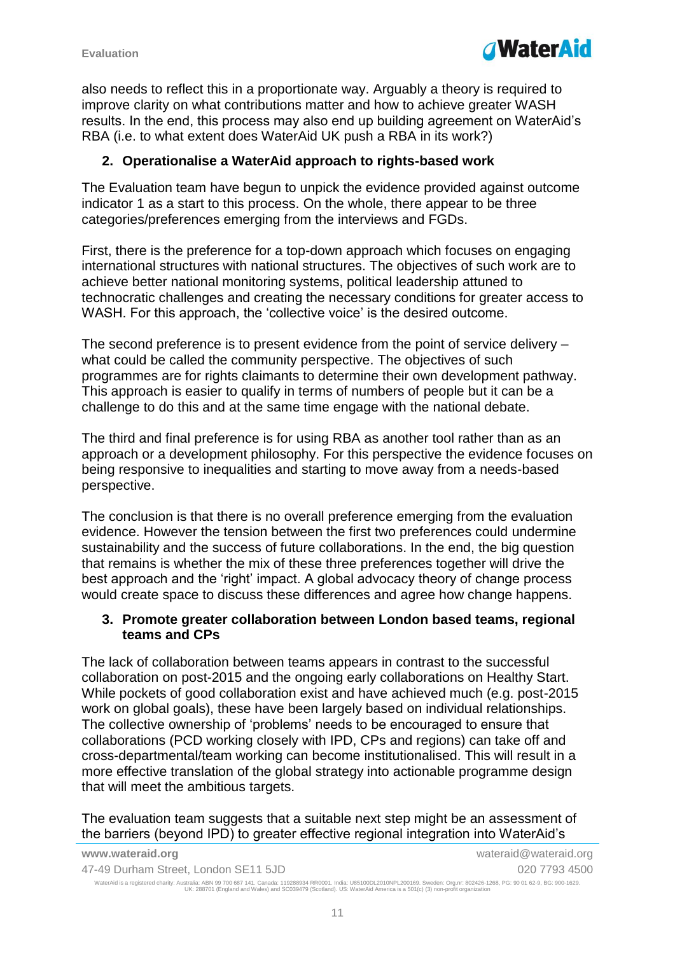

also needs to reflect this in a proportionate way. Arguably a theory is required to improve clarity on what contributions matter and how to achieve greater WASH results. In the end, this process may also end up building agreement on WaterAid's RBA (i.e. to what extent does WaterAid UK push a RBA in its work?)

#### **2. Operationalise a WaterAid approach to rights-based work**

The Evaluation team have begun to unpick the evidence provided against outcome indicator 1 as a start to this process. On the whole, there appear to be three categories/preferences emerging from the interviews and FGDs.

First, there is the preference for a top-down approach which focuses on engaging international structures with national structures. The objectives of such work are to achieve better national monitoring systems, political leadership attuned to technocratic challenges and creating the necessary conditions for greater access to WASH. For this approach, the 'collective voice' is the desired outcome.

The second preference is to present evidence from the point of service delivery – what could be called the community perspective. The objectives of such programmes are for rights claimants to determine their own development pathway. This approach is easier to qualify in terms of numbers of people but it can be a challenge to do this and at the same time engage with the national debate.

The third and final preference is for using RBA as another tool rather than as an approach or a development philosophy. For this perspective the evidence focuses on being responsive to inequalities and starting to move away from a needs-based perspective.

The conclusion is that there is no overall preference emerging from the evaluation evidence. However the tension between the first two preferences could undermine sustainability and the success of future collaborations. In the end, the big question that remains is whether the mix of these three preferences together will drive the best approach and the 'right' impact. A global advocacy theory of change process would create space to discuss these differences and agree how change happens.

#### **3. Promote greater collaboration between London based teams, regional teams and CPs**

The lack of collaboration between teams appears in contrast to the successful collaboration on post-2015 and the ongoing early collaborations on Healthy Start. While pockets of good collaboration exist and have achieved much (e.g. post-2015 work on global goals), these have been largely based on individual relationships. The collective ownership of 'problems' needs to be encouraged to ensure that collaborations (PCD working closely with IPD, CPs and regions) can take off and cross-departmental/team working can become institutionalised. This will result in a more effective translation of the global strategy into actionable programme design that will meet the ambitious targets.

The evaluation team suggests that a suitable next step might be an assessment of the barriers (beyond IPD) to greater effective regional integration into WaterAid's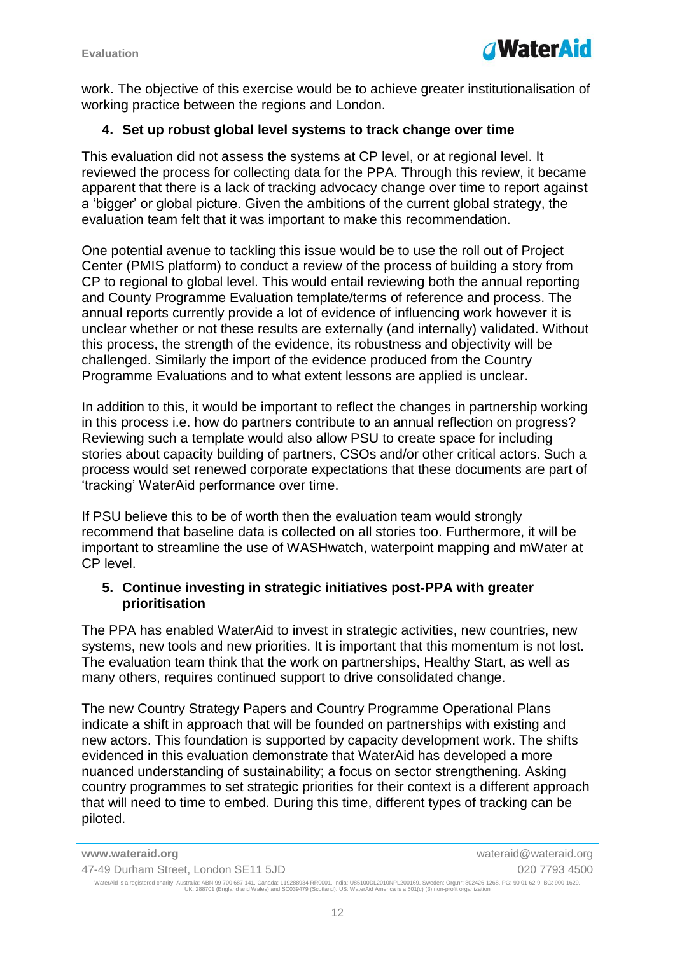

work. The objective of this exercise would be to achieve greater institutionalisation of working practice between the regions and London.

#### **4. Set up robust global level systems to track change over time**

This evaluation did not assess the systems at CP level, or at regional level. It reviewed the process for collecting data for the PPA. Through this review, it became apparent that there is a lack of tracking advocacy change over time to report against a 'bigger' or global picture. Given the ambitions of the current global strategy, the evaluation team felt that it was important to make this recommendation.

One potential avenue to tackling this issue would be to use the roll out of Project Center (PMIS platform) to conduct a review of the process of building a story from CP to regional to global level. This would entail reviewing both the annual reporting and County Programme Evaluation template/terms of reference and process. The annual reports currently provide a lot of evidence of influencing work however it is unclear whether or not these results are externally (and internally) validated. Without this process, the strength of the evidence, its robustness and objectivity will be challenged. Similarly the import of the evidence produced from the Country Programme Evaluations and to what extent lessons are applied is unclear.

In addition to this, it would be important to reflect the changes in partnership working in this process i.e. how do partners contribute to an annual reflection on progress? Reviewing such a template would also allow PSU to create space for including stories about capacity building of partners, CSOs and/or other critical actors. Such a process would set renewed corporate expectations that these documents are part of 'tracking' WaterAid performance over time.

If PSU believe this to be of worth then the evaluation team would strongly recommend that baseline data is collected on all stories too. Furthermore, it will be important to streamline the use of WASHwatch, waterpoint mapping and mWater at CP level.

#### **5. Continue investing in strategic initiatives post-PPA with greater prioritisation**

The PPA has enabled WaterAid to invest in strategic activities, new countries, new systems, new tools and new priorities. It is important that this momentum is not lost. The evaluation team think that the work on partnerships, Healthy Start, as well as many others, requires continued support to drive consolidated change.

The new Country Strategy Papers and Country Programme Operational Plans indicate a shift in approach that will be founded on partnerships with existing and new actors. This foundation is supported by capacity development work. The shifts evidenced in this evaluation demonstrate that WaterAid has developed a more nuanced understanding of sustainability; a focus on sector strengthening. Asking country programmes to set strategic priorities for their context is a different approach that will need to time to embed. During this time, different types of tracking can be piloted.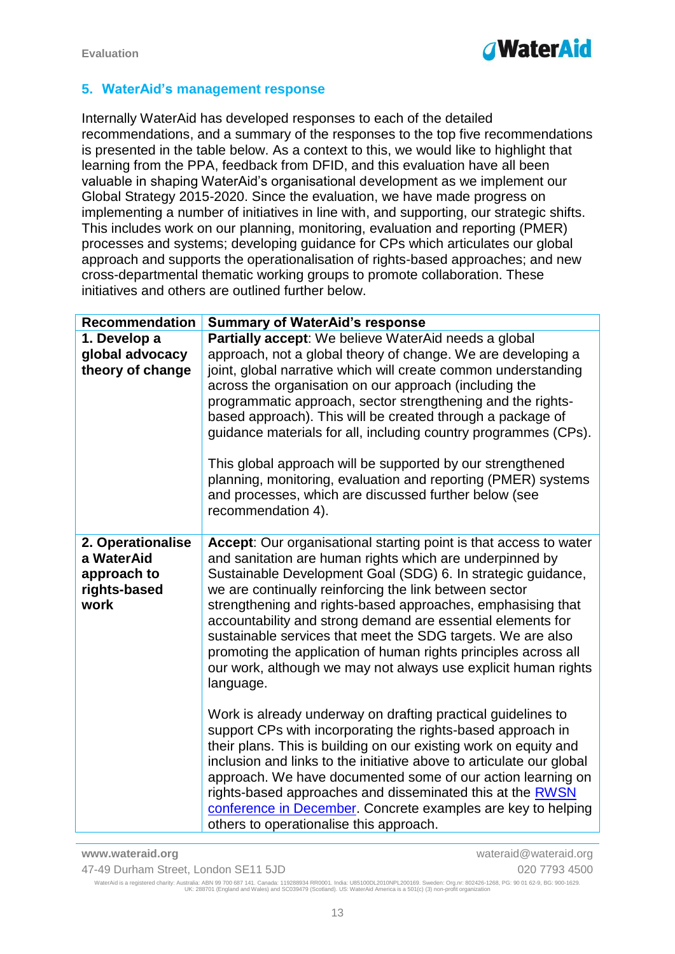

### **5. WaterAid's management response**

Internally WaterAid has developed responses to each of the detailed recommendations, and a summary of the responses to the top five recommendations is presented in the table below. As a context to this, we would like to highlight that learning from the PPA, feedback from DFID, and this evaluation have all been valuable in shaping WaterAid's organisational development as we implement our Global Strategy 2015-2020. Since the evaluation, we have made progress on implementing a number of initiatives in line with, and supporting, our strategic shifts. This includes work on our planning, monitoring, evaluation and reporting (PMER) processes and systems; developing guidance for CPs which articulates our global approach and supports the operationalisation of rights-based approaches; and new cross-departmental thematic working groups to promote collaboration. These initiatives and others are outlined further below.

| Partially accept: We believe WaterAid needs a global<br>1. Develop a<br>global advocacy<br>theory of change<br>across the organisation on our approach (including the<br>programmatic approach, sector strengthening and the rights-<br>based approach). This will be created through a package of<br>This global approach will be supported by our strengthened<br>and processes, which are discussed further below (see                                              |                                                                                                                                                                                                                                                                                                                                                                                                                                                                                                                                                                                                                                                                               |
|------------------------------------------------------------------------------------------------------------------------------------------------------------------------------------------------------------------------------------------------------------------------------------------------------------------------------------------------------------------------------------------------------------------------------------------------------------------------|-------------------------------------------------------------------------------------------------------------------------------------------------------------------------------------------------------------------------------------------------------------------------------------------------------------------------------------------------------------------------------------------------------------------------------------------------------------------------------------------------------------------------------------------------------------------------------------------------------------------------------------------------------------------------------|
| recommendation 4).                                                                                                                                                                                                                                                                                                                                                                                                                                                     | approach, not a global theory of change. We are developing a<br>joint, global narrative which will create common understanding<br>guidance materials for all, including country programmes (CPs).<br>planning, monitoring, evaluation and reporting (PMER) systems                                                                                                                                                                                                                                                                                                                                                                                                            |
| 2. Operationalise<br>a WaterAid<br>and sanitation are human rights which are underpinned by<br>approach to<br>we are continually reinforcing the link between sector<br>rights-based<br>work<br>accountability and strong demand are essential elements for<br>sustainable services that meet the SDG targets. We are also<br>language.<br>Work is already underway on drafting practical guidelines to<br>support CPs with incorporating the rights-based approach in | Accept: Our organisational starting point is that access to water<br>Sustainable Development Goal (SDG) 6. In strategic guidance,<br>strengthening and rights-based approaches, emphasising that<br>promoting the application of human rights principles across all<br>our work, although we may not always use explicit human rights<br>their plans. This is building on our existing work on equity and<br>inclusion and links to the initiative above to articulate our global<br>approach. We have documented some of our action learning on<br>rights-based approaches and disseminated this at the RWSN<br>conference in December. Concrete examples are key to helping |

**www.wateraid.org** wateraid@wateraid.org 47-49 Durham Street, London SE11 5JD 020 7793 4500 WaterAid is a registered charity: Australia: ABN 99 700 687 141. Canada: 119288934 RR0001. India: U85100DL2010NPL200169. Sweden: Org.nr: 802426-1268, PG: 90 01 62-9, BG: 900-1629.<br>UK: 288701 (England and Wales) and SC0394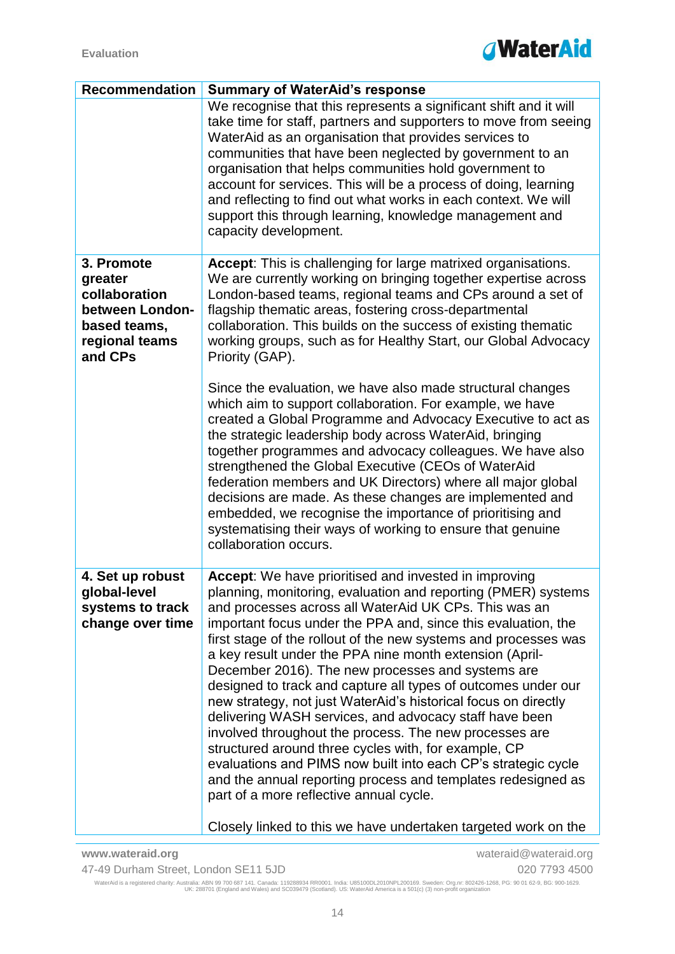

| <b>Recommendation</b>                                                                       | <b>Summary of WaterAid's response</b>                                                                                                                                                                                                                                                                                                                                                                                                                                                                                                                                                                                                                                                                                                                                                                                                                                                                                          |
|---------------------------------------------------------------------------------------------|--------------------------------------------------------------------------------------------------------------------------------------------------------------------------------------------------------------------------------------------------------------------------------------------------------------------------------------------------------------------------------------------------------------------------------------------------------------------------------------------------------------------------------------------------------------------------------------------------------------------------------------------------------------------------------------------------------------------------------------------------------------------------------------------------------------------------------------------------------------------------------------------------------------------------------|
|                                                                                             | We recognise that this represents a significant shift and it will<br>take time for staff, partners and supporters to move from seeing<br>WaterAid as an organisation that provides services to<br>communities that have been neglected by government to an<br>organisation that helps communities hold government to<br>account for services. This will be a process of doing, learning<br>and reflecting to find out what works in each context. We will<br>support this through learning, knowledge management and<br>capacity development.                                                                                                                                                                                                                                                                                                                                                                                  |
| 3. Promote<br>greater<br>collaboration<br>between London-<br>based teams,<br>regional teams | Accept: This is challenging for large matrixed organisations.<br>We are currently working on bringing together expertise across<br>London-based teams, regional teams and CPs around a set of<br>flagship thematic areas, fostering cross-departmental<br>collaboration. This builds on the success of existing thematic<br>working groups, such as for Healthy Start, our Global Advocacy                                                                                                                                                                                                                                                                                                                                                                                                                                                                                                                                     |
| and CPs                                                                                     | Priority (GAP).<br>Since the evaluation, we have also made structural changes<br>which aim to support collaboration. For example, we have<br>created a Global Programme and Advocacy Executive to act as<br>the strategic leadership body across WaterAid, bringing<br>together programmes and advocacy colleagues. We have also<br>strengthened the Global Executive (CEOs of WaterAid<br>federation members and UK Directors) where all major global<br>decisions are made. As these changes are implemented and<br>embedded, we recognise the importance of prioritising and<br>systematising their ways of working to ensure that genuine<br>collaboration occurs.                                                                                                                                                                                                                                                         |
| 4. Set up robust<br>global-level<br>systems to track<br>change over time                    | Accept: We have prioritised and invested in improving<br>planning, monitoring, evaluation and reporting (PMER) systems<br>and processes across all WaterAid UK CPs. This was an<br>important focus under the PPA and, since this evaluation, the<br>first stage of the rollout of the new systems and processes was<br>a key result under the PPA nine month extension (April-<br>December 2016). The new processes and systems are<br>designed to track and capture all types of outcomes under our<br>new strategy, not just WaterAid's historical focus on directly<br>delivering WASH services, and advocacy staff have been<br>involved throughout the process. The new processes are<br>structured around three cycles with, for example, CP<br>evaluations and PIMS now built into each CP's strategic cycle<br>and the annual reporting process and templates redesigned as<br>part of a more reflective annual cycle. |
|                                                                                             | Closely linked to this we have undertaken targeted work on the                                                                                                                                                                                                                                                                                                                                                                                                                                                                                                                                                                                                                                                                                                                                                                                                                                                                 |

**www.wateraid.org** wateraid@wateraid.org 47-49 Durham Street, London SE11 5JD 020 7793 4500 WaterAid is a registered charity: Australia: ABN 99 700 687 141. Canada: 119288934 RR0001. India: U85100DL2010NPL200169. Sweden: Org.nr: 802426-1268, PG: 90 01 62-9, BG: 900-1629.<br>UK: 288701 (England and Wales) and SC0394